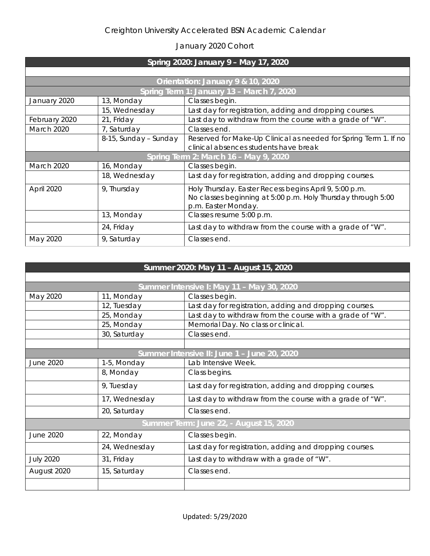## Creighton University Accelerated BSN Academic Calendar

## January 2020 Cohort

| Spring 2020: January 9 - May 17, 2020     |                       |                                                                  |  |  |
|-------------------------------------------|-----------------------|------------------------------------------------------------------|--|--|
|                                           |                       |                                                                  |  |  |
| Orientation: January 9 & 10, 2020         |                       |                                                                  |  |  |
| Spring Term 1: January 13 - March 7, 2020 |                       |                                                                  |  |  |
| January 2020                              | 13, Monday            | Classes begin.                                                   |  |  |
|                                           | 15, Wednesday         | Last day for registration, adding and dropping courses.          |  |  |
| February 2020                             | 21, Friday            | Last day to withdraw from the course with a grade of "W".        |  |  |
| March 2020                                | 7, Saturday           | Classes end.                                                     |  |  |
|                                           | 8-15, Sunday – Sunday | Reserved for Make-Up Clinical as needed for Spring Term 1. If no |  |  |
|                                           |                       | clinical absences students have break                            |  |  |
| Spring Term 2: March 16 - May 9, 2020     |                       |                                                                  |  |  |
| March 2020                                | 16, Monday            | Classes begin.                                                   |  |  |
|                                           | 18, Wednesday         | Last day for registration, adding and dropping courses.          |  |  |
| April 2020                                | 9, Thursday           | Holy Thursday. Easter Recess begins April 9, 5:00 p.m.           |  |  |
|                                           |                       | No classes beginning at 5:00 p.m. Holy Thursday through 5:00     |  |  |
|                                           |                       | p.m. Easter Monday.                                              |  |  |
|                                           | 13, Monday            | Classes resume 5:00 p.m.                                         |  |  |
|                                           | 24, Friday            | Last day to withdraw from the course with a grade of "W".        |  |  |
| May 2020                                  | 9, Saturday           | Classes end.                                                     |  |  |

| Summer 2020: May 11 - August 15, 2020       |               |                                                           |  |  |
|---------------------------------------------|---------------|-----------------------------------------------------------|--|--|
|                                             |               |                                                           |  |  |
| Summer Intensive I: May 11 - May 30, 2020   |               |                                                           |  |  |
| May 2020                                    | 11, Monday    | Classes begin.                                            |  |  |
|                                             | 12, Tuesday   | Last day for registration, adding and dropping courses.   |  |  |
|                                             | 25, Monday    | Last day to withdraw from the course with a grade of "W". |  |  |
|                                             | 25, Monday    | Memorial Day. No class or clinical.                       |  |  |
|                                             | 30, Saturday  | Classes end.                                              |  |  |
|                                             |               |                                                           |  |  |
| Summer Intensive II: June 1 - June 20, 2020 |               |                                                           |  |  |
| <b>June 2020</b>                            | 1-5, Monday   | Lab Intensive Week.                                       |  |  |
|                                             | 8, Monday     | Class begins.                                             |  |  |
|                                             | 9, Tuesday    | Last day for registration, adding and dropping courses.   |  |  |
|                                             | 17, Wednesday | Last day to withdraw from the course with a grade of "W". |  |  |
|                                             | 20, Saturday  | Classes end.                                              |  |  |
| Summer Term: June 22, - August 15, 2020     |               |                                                           |  |  |
| <b>June 2020</b>                            | 22, Monday    | Classes begin.                                            |  |  |
|                                             | 24, Wednesday | Last day for registration, adding and dropping courses.   |  |  |
| <b>July 2020</b>                            | 31, Friday    | Last day to withdraw with a grade of "W".                 |  |  |
| August 2020                                 | 15, Saturday  | Classes end.                                              |  |  |
|                                             |               |                                                           |  |  |